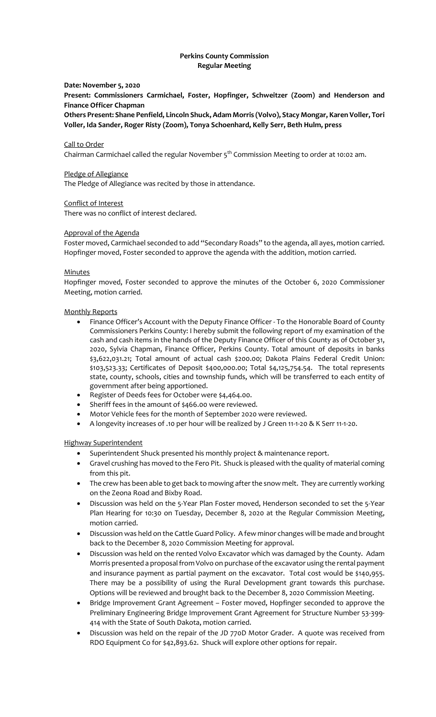# **Perkins County Commission Regular Meeting**

## **Date: November 5, 2020**

**Present: Commissioners Carmichael, Foster, Hopfinger, Schweitzer (Zoom) and Henderson and Finance Officer Chapman**

**Others Present: Shane Penfield, Lincoln Shuck, Adam Morris (Volvo), Stacy Mongar, Karen Voller, Tori Voller, Ida Sander, Roger Risty (Zoom), Tonya Schoenhard, Kelly Serr, Beth Hulm, press**

#### Call to Order

Chairman Carmichael called the regular November  $5<sup>th</sup>$  Commission Meeting to order at 10:02 am.

#### Pledge of Allegiance

The Pledge of Allegiance was recited by those in attendance.

#### Conflict of Interest

There was no conflict of interest declared.

#### Approval of the Agenda

Foster moved, Carmichael seconded to add "Secondary Roads" to the agenda, all ayes, motion carried. Hopfinger moved, Foster seconded to approve the agenda with the addition, motion carried.

#### **Minutes**

Hopfinger moved, Foster seconded to approve the minutes of the October 6, 2020 Commissioner Meeting, motion carried.

#### Monthly Reports

- Finance Officer's Account with the Deputy Finance Officer To the Honorable Board of County Commissioners Perkins County: I hereby submit the following report of my examination of the cash and cash items in the hands of the Deputy Finance Officer of this County as of October 31, 2020, Sylvia Chapman, Finance Officer, Perkins County. Total amount of deposits in banks \$3,622,031.21; Total amount of actual cash \$200.00; Dakota Plains Federal Credit Union: \$103,523.33; Certificates of Deposit \$400,000.00; Total \$4,125,754.54. The total represents state, county, schools, cities and township funds, which will be transferred to each entity of government after being apportioned.
- Register of Deeds fees for October were \$4,464.00.
- Sheriff fees in the amount of \$466.00 were reviewed.
- Motor Vehicle fees for the month of September 2020 were reviewed.
- A longevity increases of .10 per hour will be realized by J Green 11-1-20 & K Serr 11-1-20.

## Highway Superintendent

- Superintendent Shuck presented his monthly project & maintenance report.
- Gravel crushing has moved to the Fero Pit. Shuck is pleased with the quality of material coming from this pit.
- The crew has been able to get back to mowing after the snow melt. They are currently working on the Zeona Road and Bixby Road.
- Discussion was held on the 5-Year Plan Foster moved, Henderson seconded to set the 5-Year Plan Hearing for 10:30 on Tuesday, December 8, 2020 at the Regular Commission Meeting, motion carried.
- Discussion was held on the Cattle Guard Policy. A few minor changes will be made and brought back to the December 8, 2020 Commission Meeting for approval.
- Discussion was held on the rented Volvo Excavator which was damaged by the County. Adam Morris presented a proposal from Volvo on purchase of the excavator using the rental payment and insurance payment as partial payment on the excavator. Total cost would be \$140,955. There may be a possibility of using the Rural Development grant towards this purchase. Options will be reviewed and brought back to the December 8, 2020 Commission Meeting.
- Bridge Improvement Grant Agreement Foster moved, Hopfinger seconded to approve the Preliminary Engineering Bridge Improvement Grant Agreement for Structure Number 53-399- 414 with the State of South Dakota, motion carried.
- Discussion was held on the repair of the JD 770D Motor Grader. A quote was received from RDO Equipment Co for \$42,893.62. Shuck will explore other options for repair.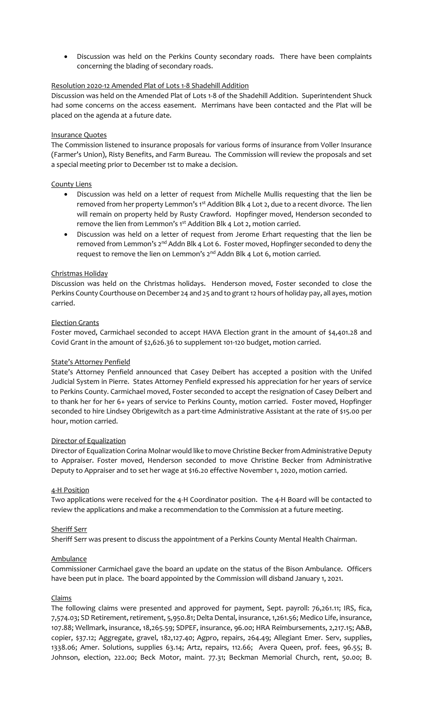• Discussion was held on the Perkins County secondary roads. There have been complaints concerning the blading of secondary roads.

# Resolution 2020-12 Amended Plat of Lots 1-8 Shadehill Addition

Discussion was held on the Amended Plat of Lots 1-8 of the Shadehill Addition. Superintendent Shuck had some concerns on the access easement. Merrimans have been contacted and the Plat will be placed on the agenda at a future date.

## Insurance Quotes

The Commission listened to insurance proposals for various forms of insurance from Voller Insurance (Farmer's Union), Risty Benefits, and Farm Bureau. The Commission will review the proposals and set a special meeting prior to December 1st to make a decision.

## County Liens

- Discussion was held on a letter of request from Michelle Mullis requesting that the lien be removed from her property Lemmon's 1st Addition Blk 4 Lot 2, due to a recent divorce. The lien will remain on property held by Rusty Crawford. Hopfinger moved, Henderson seconded to remove the lien from Lemmon's 1<sup>st</sup> Addition Blk 4 Lot 2, motion carried.
- Discussion was held on a letter of request from Jerome Erhart requesting that the lien be removed from Lemmon's 2<sup>nd</sup> Addn Blk 4 Lot 6. Foster moved, Hopfinger seconded to deny the request to remove the lien on Lemmon's 2<sup>nd</sup> Addn Blk 4 Lot 6, motion carried.

# Christmas Holiday

Discussion was held on the Christmas holidays. Henderson moved, Foster seconded to close the Perkins County Courthouse on December 24 and 25 and to grant 12 hours of holiday pay, all ayes, motion carried.

## Election Grants

Foster moved, Carmichael seconded to accept HAVA Election grant in the amount of \$4,401.28 and Covid Grant in the amount of \$2,626.36 to supplement 101-120 budget, motion carried.

## State's Attorney Penfield

State's Attorney Penfield announced that Casey Deibert has accepted a position with the Unifed Judicial System in Pierre. States Attorney Penfield expressed his appreciation for her years of service to Perkins County. Carmichael moved, Foster seconded to accept the resignation of Casey Deibert and to thank her for her 6+ years of service to Perkins County, motion carried. Foster moved, Hopfinger seconded to hire Lindsey Obrigewitch as a part-time Administrative Assistant at the rate of \$15.00 per hour, motion carried.

## Director of Equalization

Director of Equalization Corina Molnar would like to move Christine Becker from Administrative Deputy to Appraiser. Foster moved, Henderson seconded to move Christine Becker from Administrative Deputy to Appraiser and to set her wage at \$16.20 effective November 1, 2020, motion carried.

## 4-H Position

Two applications were received for the 4-H Coordinator position. The 4-H Board will be contacted to review the applications and make a recommendation to the Commission at a future meeting.

## Sheriff Serr

Sheriff Serr was present to discuss the appointment of a Perkins County Mental Health Chairman.

## Ambulance

Commissioner Carmichael gave the board an update on the status of the Bison Ambulance. Officers have been put in place. The board appointed by the Commission will disband January 1, 2021.

## Claims

The following claims were presented and approved for payment, Sept. payroll: 76,261.11; IRS, fica, 7,574.03; SD Retirement, retirement, 5,950.81; Delta Dental, insurance, 1,261.56; Medico Life, insurance, 107.88; Wellmark, insurance, 18,265.59; SDPEF, insurance, 96.00; HRA Reimbursements, 2,217.15; A&B, copier, \$37.12; Aggregate, gravel, 182,127.40; Agpro, repairs, 264.49; Allegiant Emer. Serv, supplies, 1338.06; Amer. Solutions, supplies 63.14; Artz, repairs, 112.66; Avera Queen, prof. fees, 96.55; B. Johnson, election, 222.00; Beck Motor, maint. 77.31; Beckman Memorial Church, rent, 50.00; B.